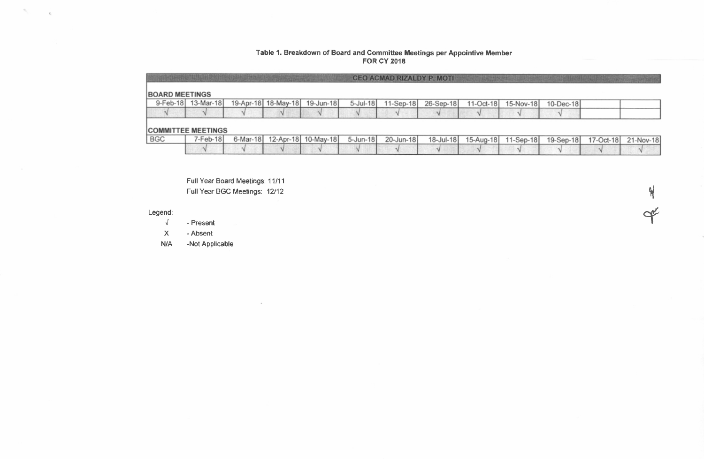### Table 1. Breakdown of Board and Committee Meetings per Appointive Member FOR CY 2018

|                       |                           |                     | <b>CONTRACTORS OF STREET</b> |              | <b>CEO ACMAD RIZALDY P. MOTI</b> |           |           |           |              |           |           |
|-----------------------|---------------------------|---------------------|------------------------------|--------------|----------------------------------|-----------|-----------|-----------|--------------|-----------|-----------|
| <b>BOARD MEETINGS</b> |                           |                     |                              |              |                                  |           |           |           |              |           |           |
| 9-Feb-18              | 13-Mar-18                 | 19-Apr-18 18-May-18 | 19-Jun-18                    | 5-Jul-18     | $11-Sep-18$                      | 26-Sep-18 | 11-Oct-18 | 15-Nov-18 | $10$ -Dec-18 |           |           |
|                       |                           |                     |                              |              |                                  |           |           |           |              |           |           |
|                       | <b>COMMITTEE MEETINGS</b> |                     |                              |              |                                  |           |           |           |              |           |           |
| <b>BGC</b>            | $7$ -Feb-18               |                     | 6-Mar-18 12-Apr-18 10-May-18 | $5 - Jun-18$ | 20-Jun-18                        | 18-Jul-18 | 15-Aug-18 | 11-Sep-18 | 19-Sep-18    | 17-Oct-18 | 21-Nov-18 |
|                       |                           |                     |                              |              |                                  |           |           |           |              |           |           |

t

 $\triangleleft$ 

Full Year Board Meetings: 11/11 Full Year BGC Meetings: 12/12

 $\alpha$ 

### Legend:

 $\sigma_{\rm{c}}$  ,  $\sigma_{\rm{c}}$ 

 $\sqrt{ }$ - Present

X - Absent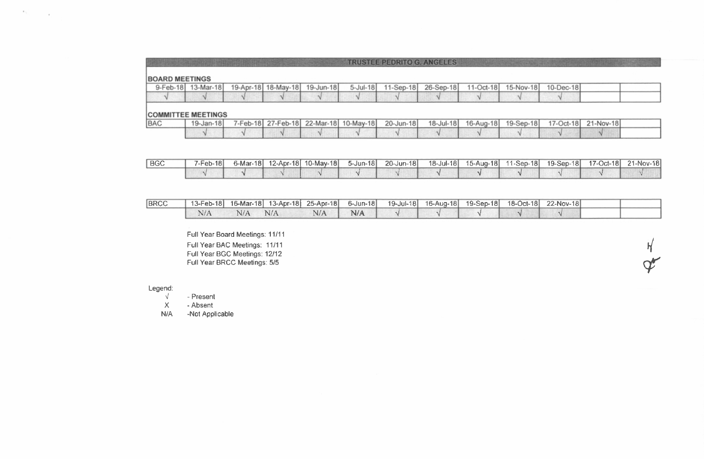|                       |                    |  |                               | <b>TRUSTEE PEDRITO G. ANGELIES</b> |  |                     |           |  |
|-----------------------|--------------------|--|-------------------------------|------------------------------------|--|---------------------|-----------|--|
| <b>BOARD MEETINGS</b> |                    |  |                               |                                    |  |                     |           |  |
|                       | 9-Feb-18 13-Mar-18 |  | 19-Apr-18 18-May-18 19-Jun-18 | 5-Jul-18 11-Sep-18 26-Sep-18       |  | 11-Oct-18 15-Nov-18 | 10-Dec-18 |  |
|                       |                    |  |                               |                                    |  |                     |           |  |
|                       |                    |  |                               |                                    |  |                     |           |  |

#### **COMMITTEE MEETINGS**

**ALCOHOL:** 

 $\sim$ 

| <b>BAC</b> | 19-Jan-18 |  |  | 7-Feb-18 27-Feb-18 22-Mar-18 10-May-18 20-Jun-18 18-Jul-18 16-Aug-18 19-Sep-18 17-Oct-18 21-Nov-18 |  |  |  |
|------------|-----------|--|--|----------------------------------------------------------------------------------------------------|--|--|--|
|            |           |  |  |                                                                                                    |  |  |  |

| <b>BGC</b> | '-Feb-18l |  | 6-Mar-18 12-Apr-18 10-May-18 | $5 - Jun-18$ | $20 - Jun-18$ | 18-Jul-18 |  | 19-Sep-18 | 17-Oct-18 | 21-Nov-18 |
|------------|-----------|--|------------------------------|--------------|---------------|-----------|--|-----------|-----------|-----------|
|            |           |  |                              |              |               |           |  |           |           |           |

| <b>BRCC</b> |     |     |     |     | 13-Feb-18 16-Mar-18 13-Apr-18 25-Apr-18 6-Jun-18 19-Jul-18 16-Aug-18 19-Sep-18 18-Oct-18 22-Nov-18 |  |  |  |
|-------------|-----|-----|-----|-----|----------------------------------------------------------------------------------------------------|--|--|--|
|             | N/A | N/A | N/A | N/A |                                                                                                    |  |  |  |

 $\frac{1}{2}$ 

 ${\bm \phi}$ 

Full Year Board Meetings: 11/11 Full Year BAC Meetings: 11/11 Full Year BGC Meetings: 12l12 Full Year BRCC Meetings: 5/5

# Legend:

 $\sqrt{}$ - Present

X - Absent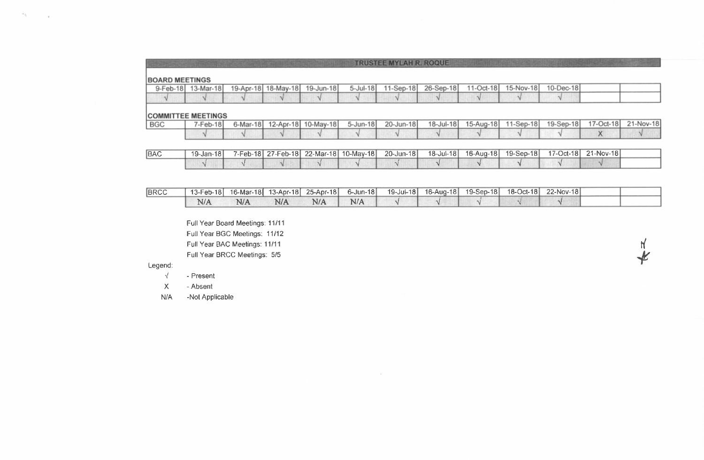|                       |                           |          |                     |                     |                 | <b>TRUSTEE MYLAH R. ROQUE.</b> |           |           |             |           |           |           |
|-----------------------|---------------------------|----------|---------------------|---------------------|-----------------|--------------------------------|-----------|-----------|-------------|-----------|-----------|-----------|
| <b>BOARD MEETINGS</b> |                           |          |                     |                     |                 |                                |           |           |             |           |           |           |
| 9-Feb-18              | $13-Mar-18$               |          | 19-Apr-18 18-May-18 | 19-Jun-18           | $5 -$ Jul $-18$ | $11-Sep-18$                    | 26-Sep-18 | 11-Oct-18 | 15-Nov-18   | 10-Dec-18 |           |           |
| $\overline{v}$        |                           |          |                     |                     |                 |                                |           |           | v           |           |           |           |
|                       |                           |          |                     |                     |                 |                                |           |           |             |           |           |           |
|                       | <b>COMMITTEE MEETINGS</b> |          |                     |                     |                 |                                |           |           |             |           |           |           |
| <b>BGC</b>            | $7-Feb-18$                | 6-Mar-18 |                     | 12-Apr-18 10-May-18 | 5-Jun-18        | 20-Jun-18                      | 18-Jul-18 | 15-Aug-18 | $11-Sep-18$ | 19-Sep-18 | 17-Oct-18 | 21-Nov-18 |
|                       |                           |          |                     |                     |                 |                                |           |           |             |           | v<br>∧    |           |
|                       |                           |          |                     |                     |                 |                                |           |           |             |           |           |           |

| <b>BAC</b> | $19 - Jan - 18$ |  | 7-Feb-18 27-Feb-18 22-Mar-18 10-May-18 | $20 - Jun-18$ | $18 - Ju - 18$ |  | 17-Oct-18 | 21-Nov-18 |  |
|------------|-----------------|--|----------------------------------------|---------------|----------------|--|-----------|-----------|--|
|            |                 |  |                                        |               |                |  |           |           |  |

| <b>BRCC</b> | 13-Feb-18 |     |     |     | $6$ -Jun-18 | 19-Jul-18 16-Aug-18 | 19-Sep-18 | $18$ -Oct-18 | 22-Nov-18 |  |
|-------------|-----------|-----|-----|-----|-------------|---------------------|-----------|--------------|-----------|--|
|             | N/A       | N/A | N/A | N/A | N/A         |                     |           |              |           |  |

 $\sim$ 

i

lar<br>|

Full Year Board Meetings: 11/11 Full Year BGC Meetings: 11/12 Full Year BAC Meetings: 1 1/11 Full Year BRCC Meetings: 5/5

# Legend:

 $\mathcal{F}^{\mathcal{F}}$  . In the  $\mathcal{F}^{\mathcal{F}}$ 

 $\sqrt{-}$ - Present

 $\mathbf{X}$ - Absent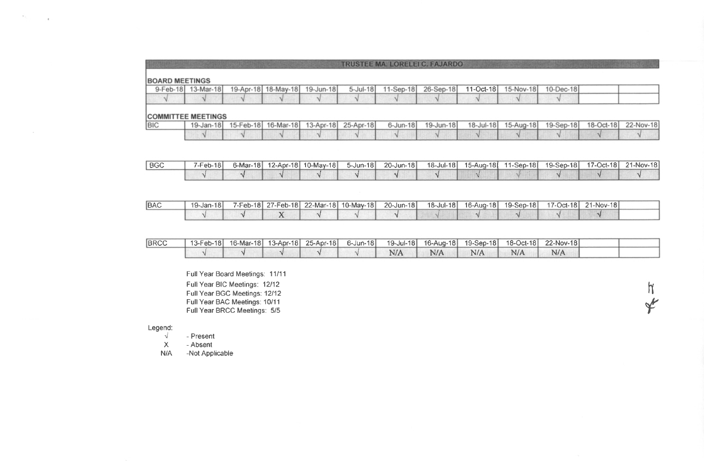|                       |                    |  |                               | <b>TRUSTEE MA. LORELEI C. FAJARDO</b> |  |                               |  |
|-----------------------|--------------------|--|-------------------------------|---------------------------------------|--|-------------------------------|--|
|                       |                    |  |                               |                                       |  |                               |  |
| <b>BOARD MEETINGS</b> |                    |  |                               |                                       |  |                               |  |
|                       | 9-Feb-18 13-Mar-18 |  | 19-Apr-18 18-May-18 19-Jun-18 | 5-Jul-18 11-Sep-18 26-Sep-18          |  | 11-Oct-18 15-Nov-18 10-Dec-18 |  |
|                       |                    |  |                               |                                       |  |                               |  |
|                       |                    |  |                               |                                       |  |                               |  |

### **COMMITTEE MEETINGS**

 $\mathcal{H}_{\mathrm{eff}}$ 

 $\sim$ 

| <b>BIC</b> |  |  | 19-Jan-18 15-Feb-18 16-Mar-18 13-Apr-18 25-Apr-18 6-Jun-18 19-Jun-18 18-Jul-18 15-Aug-18 19-Sep-18 18-Oct-18 22-Nov-18 |  |  |  |
|------------|--|--|------------------------------------------------------------------------------------------------------------------------|--|--|--|
|            |  |  |                                                                                                                        |  |  |  |

| l BGC | $7$ -Feb-18 $\vert$ |  | 6-Mar-18  12-Apr-18  10-May-18 | $5 - Jun-18$ | 20-Jun-181 |  |  | 17-Oct-18 | 21-Nov-181 |
|-------|---------------------|--|--------------------------------|--------------|------------|--|--|-----------|------------|
|       |                     |  |                                |              |            |  |  |           |            |

| <b>BAC</b> | 19-Jan-18 |  | 7-Feb-18 27-Feb-18 22-Mar-18 10-Mav-18 | 20-Jun-18 |  |  | 17-Oct-18 21-Nov-18 |  |
|------------|-----------|--|----------------------------------------|-----------|--|--|---------------------|--|
|            |           |  |                                        |           |  |  |                     |  |

| <b>BRCC</b> |  |  | 13-Feb-18 16-Mar-18 13-Apr-18 25-Apr-18 6-Jun-18 19-Jul-18 16-Aug-18 19-Sep-18 18-Oct-18 22-Nov-18 |     |     |     |     |  |
|-------------|--|--|----------------------------------------------------------------------------------------------------|-----|-----|-----|-----|--|
|             |  |  | N/A                                                                                                | N/A | N/A | N/A | N/A |  |

 $\eta$ 

{

Full Year Board Meetings: 11111 Full Year BIC Meetings: 1212 Full Year BGC Meetings: 12112 Full Year BAC Meetings: 10/11 Full Year BRCC Meetings: 5/5

Legend:

 $\sqrt{ }$ - Presenl

X - Absent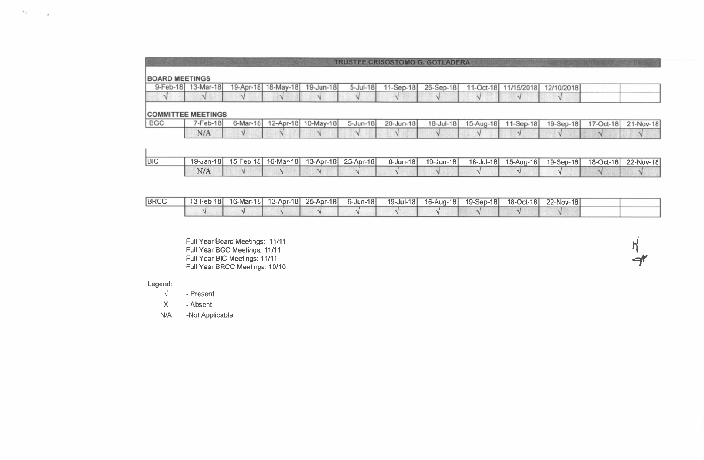|                       |           |  |                               |                 | TRUSTEE CRISOSTOMO G. GOTLADERA |           |             |            |            |  |
|-----------------------|-----------|--|-------------------------------|-----------------|---------------------------------|-----------|-------------|------------|------------|--|
| <b>BOARD MEETINGS</b> |           |  |                               |                 |                                 |           |             |            |            |  |
| 9-Feb-18 1            | 13-Mar-18 |  | 19-Apr-18 18-May-18 19-Jun-18 | $5 -$ Jul $-18$ | 11-Sep-18                       | 26-Sep-18 | $11-Oct-18$ | 11/15/2018 | 12/10/2018 |  |
|                       |           |  |                               |                 |                                 |           |             |            |            |  |
|                       |           |  |                               |                 |                                 |           |             |            |            |  |

# **COMMITTEE MEETINGS**

 $\mathcal{F}_{\mathcal{N}}$  .

| <b>BGC</b> | <sup>7</sup> -Feb-18 |  | 6-Mar-18  12-Apr-18  10-May-18  5-Jun-18 | 20-Jun-18 | 18-Jul-18 15-Aug-18 11-Sep-18 19-Sep-18 17-Oct-18 21-Nov-18 |  |  |
|------------|----------------------|--|------------------------------------------|-----------|-------------------------------------------------------------|--|--|
|            | N/A                  |  |                                          |           |                                                             |  |  |

| <b>BIC</b> | 19-Jan-18 | 15-Feb-18   16-Mar-18   13-Apr-18   25-Apr-18 |  | 6-Jun-181 | 19-Jun-181 |  | $19-Sep-18$ | 18-Oct-18 | 22-Nov-18 |
|------------|-----------|-----------------------------------------------|--|-----------|------------|--|-------------|-----------|-----------|
|            |           |                                               |  |           |            |  |             |           |           |

| <b>BRCC</b> |  |  |  | 13-Feb-18 16-Mar-18 13-Apr-18 25-Apr-18 6-Jun-18 19-Jul-18 16-Aug-18 19-Sep-18 18-Oct-18 22-Nov-18 |  |  |
|-------------|--|--|--|----------------------------------------------------------------------------------------------------|--|--|
|             |  |  |  |                                                                                                    |  |  |

 $\vert$  $\rightarrow$ 

Full Year Board Meetings: 11/11 Full Year BGC Meetings: I1111 Full Year BIC Meelings: 11l11 Full Year BRCC Meetings: 10/10

#### Legend:

 $\mathbf{I}$ 

 $\sqrt{}$ - Presenl

X - Absent